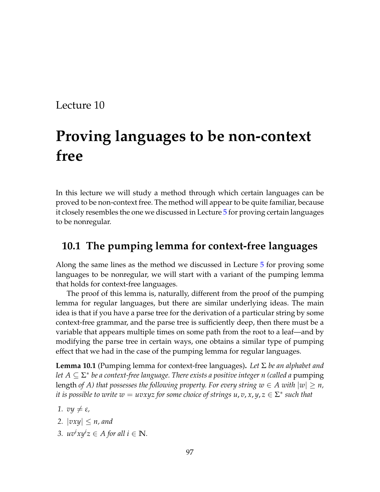### Lecture 10

# **Proving languages to be non-context free**

In this lecture we will study a method through which certain languages can be proved to be non-context free. The method will appear to be quite familiar, because it closely resembles the one we discussed in Lecture [5](#page--1-0) for proving certain languages to be nonregular.

#### **10.1 The pumping lemma for context-free languages**

Along the same lines as the method we discussed in Lecture [5](#page--1-0) for proving some languages to be nonregular, we will start with a variant of the pumping lemma that holds for context-free languages.

The proof of this lemma is, naturally, different from the proof of the pumping lemma for regular languages, but there are similar underlying ideas. The main idea is that if you have a parse tree for the derivation of a particular string by some context-free grammar, and the parse tree is sufficiently deep, then there must be a variable that appears multiple times on some path from the root to a leaf—and by modifying the parse tree in certain ways, one obtains a similar type of pumping effect that we had in the case of the pumping lemma for regular languages.

**Lemma 10.1** (Pumping lemma for context-free languages)**.** *Let* Σ *be an alphabet and let A* ⊆ Σ ∗ *be a context-free language. There exists a positive integer n (called a* pumping length *of A*) that possesses the following property. For every string  $w \in A$  with  $|w| \geq n$ , *it is possible to write*  $w = uvxyz$  *for some choice of strings*  $u, v, x, y, z \in \Sigma^*$  *such that* 

- *1.*  $v\psi \neq \varepsilon$ *,*
- 2.  $|vxy| \leq n$ , and
- *3.*  $uv^i xy^i z \in A$  for all  $i \in \mathbb{N}$ .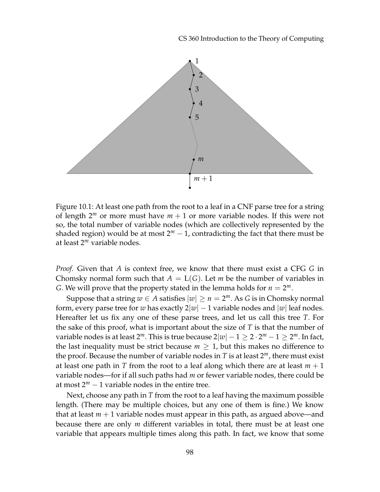CS 360 Introduction to the Theory of Computing



Figure 10.1: At least one path from the root to a leaf in a CNF parse tree for a string of length  $2^m$  or more must have  $m + 1$  or more variable nodes. If this were not so, the total number of variable nodes (which are collectively represented by the shaded region) would be at most  $2^m - 1$ , contradicting the fact that there must be at least 2*<sup>m</sup>* variable nodes.

*Proof.* Given that *A* is context free, we know that there must exist a CFG *G* in Chomsky normal form such that  $A = L(G)$ . Let *m* be the number of variables in *G*. We will prove that the property stated in the lemma holds for  $n = 2^m$ .

Suppose that a string  $w \in A$  satisfies  $|w| \ge n = 2^m$ . As *G* is in Chomsky normal form, every parse tree for *w* has exactly  $2|w| - 1$  variable nodes and  $|w|$  leaf nodes. Hereafter let us fix any one of these parse trees, and let us call this tree *T*. For the sake of this proof, what is important about the size of *T* is that the number of variable nodes is at least 2 $^m$ . This is true because 2 $|w|-1\geq 2\cdot 2^m-1\geq 2^m$ . In fact, the last inequality must be strict because  $m \geq 1$ , but this makes no difference to the proof. Because the number of variable nodes in  $T$  is at least  $2^m$ , there must exist at least one path in *T* from the root to a leaf along which there are at least  $m + 1$ variable nodes—for if all such paths had *m* or fewer variable nodes, there could be at most  $2^m - 1$  variable nodes in the entire tree.

Next, choose any path in *T* from the root to a leaf having the maximum possible length. (There may be multiple choices, but any one of them is fine.) We know that at least  $m + 1$  variable nodes must appear in this path, as argued above—and because there are only *m* different variables in total, there must be at least one variable that appears multiple times along this path. In fact, we know that some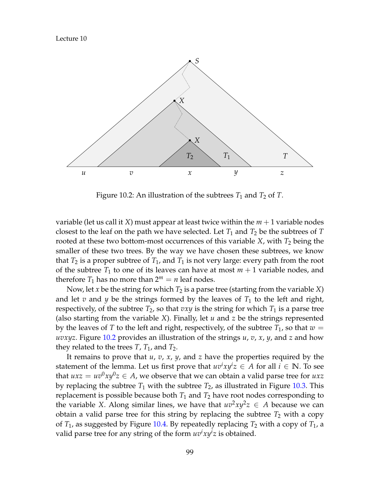

<span id="page-2-0"></span>Figure 10.2: An illustration of the subtrees  $T_1$  and  $T_2$  of  $T$ .

variable (let us call it *X*) must appear at least twice within the *m* + 1 variable nodes closest to the leaf on the path we have selected. Let  $T_1$  and  $T_2$  be the subtrees of  $T$ rooted at these two bottom-most occurrences of this variable *X*, with *T*<sub>2</sub> being the smaller of these two trees. By the way we have chosen these subtrees, we know that  $T_2$  is a proper subtree of  $T_1$ , and  $T_1$  is not very large: every path from the root of the subtree  $T_1$  to one of its leaves can have at most  $m + 1$  variable nodes, and therefore  $T_1$  has no more than  $2^m = n$  leaf nodes.

Now, let *x* be the string for which  $T_2$  is a parse tree (starting from the variable *X*) and let  $v$  and  $y$  be the strings formed by the leaves of  $T_1$  to the left and right, respectively, of the subtree  $T_2$ , so that  $vxy$  is the string for which  $T_1$  is a parse tree (also starting from the variable *X*). Finally, let *u* and *z* be the strings represented by the leaves of *T* to the left and right, respectively, of the subtree  $T_1$ , so that  $w =$ *uvxyz*. Figure [10.2](#page-2-0) provides an illustration of the strings *u*, *v*, *x*, *y*, and *z* and how they related to the trees  $T$ ,  $T_1$ , and  $T_2$ .

It remains to prove that *u*, *v*, *x*, *y*, and *z* have the properties required by the statement of the lemma. Let us first prove that  $uv^ixy^iz \in A$  for all  $i \in \mathbb{N}$ . To see that  $uxz = uv^0xy^0z \in A$ , we observe that we can obtain a valid parse tree for  $uxz$ by replacing the subtree  $T_1$  with the subtree  $T_2$ , as illustrated in Figure [10.3.](#page-3-0) This replacement is possible because both  $T_1$  and  $T_2$  have root nodes corresponding to the variable *X*. Along similar lines, we have that  $uv^2xy^2z \in A$  because we can obtain a valid parse tree for this string by replacing the subtree  $T_2$  with a copy of  $T_1$ , as suggested by Figure [10.4.](#page-3-1) By repeatedly replacing  $T_2$  with a copy of  $T_1$ , a valid parse tree for any string of the form  $uv^ixy^i z$  is obtained.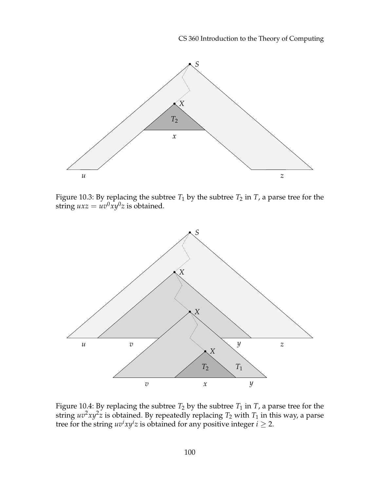CS 360 Introduction to the Theory of Computing



<span id="page-3-0"></span>Figure 10.3: By replacing the subtree  $T_1$  by the subtree  $T_2$  in  $T$ , a parse tree for the string  $uxz = uv^0xy^0z$  is obtained.



<span id="page-3-1"></span>Figure 10.4: By replacing the subtree  $T_2$  by the subtree  $T_1$  in  $T$ , a parse tree for the string  $uv^2xy^2z$  is obtained. By repeatedly replacing  $T_2$  with  $T_1$  in this way, a parse tree for the string  $uv^ixy^i z$  is obtained for any positive integer  $i \geq 2$ .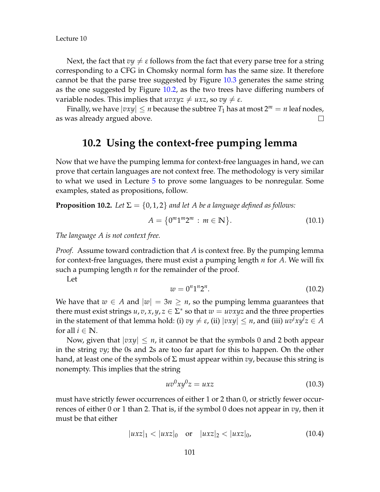Lecture 10

Next, the fact that  $vy \neq \varepsilon$  follows from the fact that every parse tree for a string corresponding to a CFG in Chomsky normal form has the same size. It therefore cannot be that the parse tree suggested by Figure [10.3](#page-3-0) generates the same string as the one suggested by Figure [10.2,](#page-2-0) as the two trees have differing numbers of variable nodes. This implies that  $uvxyz \neq uxz$ , so  $vy \neq \varepsilon$ .

Finally, we have  $|vxy| \le n$  because the subtree  $T_1$  has at most  $2^m = n$  leaf nodes, as was already argued above.  $\Box$ 

#### **10.2 Using the context-free pumping lemma**

Now that we have the pumping lemma for context-free languages in hand, we can prove that certain languages are not context free. The methodology is very similar to what we used in Lecture [5](#page--1-0) to prove some languages to be nonregular. Some examples, stated as propositions, follow.

**Proposition 10.2.** Let  $\Sigma = \{0, 1, 2\}$  and let A be a language defined as follows:

$$
A = \{0^m 1^m 2^m : m \in \mathbb{N}\}.
$$
 (10.1)

*The language A is not context free.*

*Proof.* Assume toward contradiction that *A* is context free. By the pumping lemma for context-free languages, there must exist a pumping length *n* for *A*. We will fix such a pumping length *n* for the remainder of the proof.

Let

$$
w = 0^n 1^n 2^n. \tag{10.2}
$$

We have that  $w \in A$  and  $|w| = 3n \ge n$ , so the pumping lemma guarantees that there must exist strings  $u, v, x, y, z \in \Sigma^*$  so that  $w = uvxyz$  and the three properties  $i$  in the statement of that lemma hold: (i)  $vy \neq \varepsilon$ , (ii)  $|vxy| \leq n$ , and (iii)  $uv^ixy^i z \in A$ for all  $i \in \mathbb{N}$ .

Now, given that  $|vxy| \le n$ , it cannot be that the symbols 0 and 2 both appear in the string *vy*; the 0s and 2s are too far apart for this to happen. On the other hand, at least one of the symbols of  $\Sigma$  must appear within  $v\psi$ , because this string is nonempty. This implies that the string

$$
uv^0xy^0z = uxz \tag{10.3}
$$

must have strictly fewer occurrences of either 1 or 2 than 0, or strictly fewer occurrences of either 0 or 1 than 2. That is, if the symbol 0 does not appear in *vy*, then it must be that either

$$
|uxz|_1 < |uxz|_0 \quad \text{or} \quad |uxz|_2 < |uxz|_0,\tag{10.4}
$$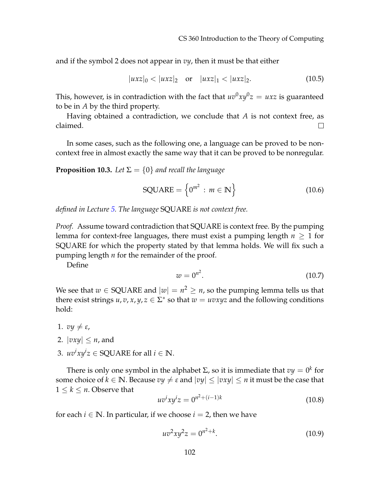and if the symbol 2 does not appear in *vy*, then it must be that either

$$
|uxz|_0 < |uxz|_2 \quad \text{or} \quad |uxz|_1 < |uxz|_2. \tag{10.5}
$$

This, however, is in contradiction with the fact that  $uv^0xy^0z = uxz$  is guaranteed to be in *A* by the third property.

Having obtained a contradiction, we conclude that *A* is not context free, as claimed.  $\Box$ 

In some cases, such as the following one, a language can be proved to be noncontext free in almost exactly the same way that it can be proved to be nonregular.

**Proposition 10.3.** Let  $\Sigma = \{0\}$  and recall the language

$$
SQUARE = \left\{0^{m^2} : m \in \mathbb{N}\right\} \tag{10.6}
$$

*defined in Lecture [5.](#page--1-0) The language* SQUARE *is not context free.*

*Proof.* Assume toward contradiction that SQUARE is context free. By the pumping lemma for context-free languages, there must exist a pumping length  $n \geq 1$  for SQUARE for which the property stated by that lemma holds. We will fix such a pumping length *n* for the remainder of the proof.

Define

$$
w = 0^{n^2}.\tag{10.7}
$$

We see that  $w \in \mathsf{SQUARE}$  and  $|w| = n^2 \ge n$ , so the pumping lemma tells us that there exist strings  $u, v, x, y, z \in \Sigma^*$  so that  $w = uvxyz$  and the following conditions hold:

- 1.  $v\psi \neq \varepsilon$ ,
- 2.  $|vxy| \leq n$ , and
- 3.  $uv^i xy^i z \in \text{SQUARE}$  for all  $i \in \mathbb{N}$ .

There is only one symbol in the alphabet  $\Sigma$ , so it is immediate that  $vy = 0^k$  for some choice of  $k \in \mathbb{N}$ . Because  $vy \neq \varepsilon$  and  $|vy| \leq |vxy| \leq n$  it must be the case that  $1 \leq k \leq n$ . Observe that

$$
uv^{i}xy^{i}z = 0^{n^{2} + (i-1)k}
$$
 (10.8)

for each  $i \in \mathbb{N}$ . In particular, if we choose  $i = 2$ , then we have

$$
uv^2xy^2z = 0^{n^2+k}.\t(10.9)
$$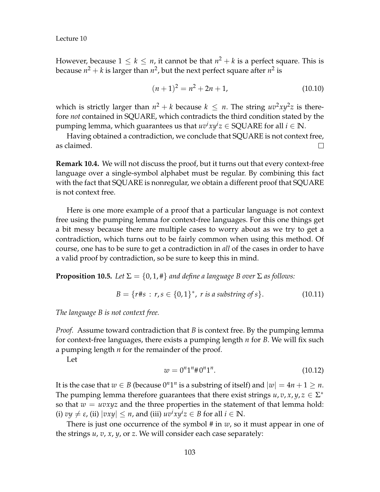However, because  $1 \leq k \leq n$ , it cannot be that  $n^2 + k$  is a perfect square. This is because  $n^2 + k$  is larger than  $n^2$ , but the next perfect square after  $n^2$  is

$$
(n+1)^2 = n^2 + 2n + 1,\tag{10.10}
$$

which is strictly larger than  $n^2 + k$  because  $k \leq n$ . The string  $uv^2xy^2z$  is therefore *not* contained in SQUARE, which contradicts the third condition stated by the pumping lemma, which guarantees us that  $uv^ixy^iz \in \text{SQUARE}$  for all  $i \in \mathbb{N}$ .

Having obtained a contradiction, we conclude that SQUARE is not context free, as claimed. П.

**Remark 10.4.** We will not discuss the proof, but it turns out that every context-free language over a single-symbol alphabet must be regular. By combining this fact with the fact that SQUARE is nonregular, we obtain a different proof that SQUARE is not context free.

Here is one more example of a proof that a particular language is not context free using the pumping lemma for context-free languages. For this one things get a bit messy because there are multiple cases to worry about as we try to get a contradiction, which turns out to be fairly common when using this method. Of course, one has to be sure to get a contradiction in *all* of the cases in order to have a valid proof by contradiction, so be sure to keep this in mind.

**Proposition 10.5.** *Let*  $\Sigma = \{0, 1, \text{\#}\}\$  *and define a language B over*  $\Sigma$  *as follows:* 

$$
B = \{r \# s : r, s \in \{0, 1\}^*, r \text{ is a substring of } s\}. \tag{10.11}
$$

*The language B is not context free.*

*Proof.* Assume toward contradiction that *B* is context free. By the pumping lemma for context-free languages, there exists a pumping length *n* for *B*. We will fix such a pumping length *n* for the remainder of the proof.

Let

$$
w = 0^n 1^n \# 0^n 1^n. \tag{10.12}
$$

It is the case that  $w \in B$  (because  $0^n1^n$  is a substring of itself) and  $|w| = 4n + 1 \ge n$ . The pumping lemma therefore guarantees that there exist strings  $u, v, x, y, z \in \Sigma^*$ so that  $w = uvxyz$  and the three properties in the statement of that lemma hold: (i)  $vy \neq \varepsilon$ , (ii)  $|vxy| \leq n$ , and (iii)  $uv^ixy^iz \in B$  for all  $i \in \mathbb{N}$ .

There is just one occurrence of the symbol  $\#$  in  $w$ , so it must appear in one of the strings *u*, *v*, *x*, *y*, or *z*. We will consider each case separately: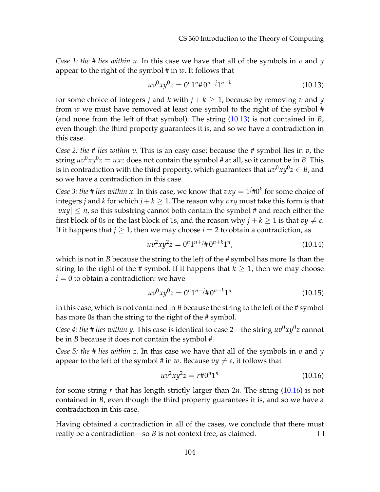*Case 1: the # lies within u.* In this case we have that all of the symbols in *v* and *y* appear to the right of the symbol # in *w*. It follows that

<span id="page-7-0"></span>
$$
uv^0xy^0z = 0^n1^n \# 0^{n-j}1^{n-k}
$$
\n(10.13)

for some choice of integers *j* and *k* with  $j + k > 1$ , because by removing *v* and *y* from *w* we must have removed at least one symbol to the right of the symbol # (and none from the left of that symbol). The string [\(10.13\)](#page-7-0) is not contained in *B*, even though the third property guarantees it is, and so we have a contradiction in this case.

*Case 2: the # lies within v.* This is an easy case: because the # symbol lies in *v*, the string  $uv^0xy^0z=uxz$  does not contain the symbol # at all, so it cannot be in *B*. This is in contradiction with the third property, which guarantees that  $uv^0xy^0z \in B$ , and so we have a contradiction in this case.

*Case 3: the # lies within x.* In this case, we know that  $vxy = 1^{j}\#0^{k}$  for some choice of integers *j* and *k* for which  $j + k \geq 1$ . The reason why *vxy* must take this form is that  $|vxy| \le n$ , so this substring cannot both contain the symbol # and reach either the first block of 0s or the last block of 1s, and the reason why  $j + k \ge 1$  is that  $v y \ne \varepsilon$ . If it happens that  $j \geq 1$ , then we may choose  $i = 2$  to obtain a contradiction, as

$$
uv^2xy^2z = 0^n1^{n+j} \# 0^{n+k}1^n, \tag{10.14}
$$

which is not in *B* because the string to the left of the # symbol has more 1s than the string to the right of the # symbol. If it happens that  $k \geq 1$ , then we may choose  $i = 0$  to obtain a contradiction: we have

$$
uv^0xy^0z = 0^n1^{n-j} \# 0^{n-k}1^n \tag{10.15}
$$

in this case, which is not contained in *B* because the string to the left of the # symbol has more 0s than the string to the right of the # symbol.

*Case 4: the # lies within y.* This case is identical to case 2—the string *uv*0*xy*<sup>0</sup> *z* cannot be in *B* because it does not contain the symbol #.

*Case 5: the # lies within z.* In this case we have that all of the symbols in *v* and *y* appear to the left of the symbol # in *w*. Because  $vy \neq \varepsilon$ , it follows that

<span id="page-7-1"></span>
$$
uv^2xy^2z = r \# 0^n 1^n \tag{10.16}
$$

for some string *r* that has length strictly larger than 2*n*. The string [\(10.16\)](#page-7-1) is not contained in *B*, even though the third property guarantees it is, and so we have a contradiction in this case.

Having obtained a contradiction in all of the cases, we conclude that there must really be a contradiction—so *B* is not context free, as claimed.  $\Box$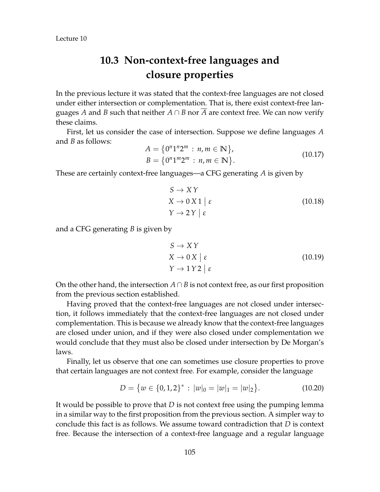## **10.3 Non-context-free languages and closure properties**

In the previous lecture it was stated that the context-free languages are not closed under either intersection or complementation. That is, there exist context-free languages *A* and *B* such that neither  $A \cap B$  nor  $\overline{A}$  are context free. We can now verify these claims.

First, let us consider the case of intersection. Suppose we define languages *A* and *B* as follows:

$$
A = \{0^n 1^n 2^m : n, m \in \mathbb{N}\},
$$
  
\n
$$
B = \{0^n 1^m 2^m : n, m \in \mathbb{N}\}.
$$
\n(10.17)

These are certainly context-free languages—a CFG generating *A* is given by

$$
S \to XY
$$
  
\n
$$
X \to 0 X 1 \mid \varepsilon
$$
  
\n
$$
Y \to 2 Y \mid \varepsilon
$$
\n(10.18)

and a CFG generating *B* is given by

$$
S \to XY
$$
  
\n
$$
X \to 0 X \mid \varepsilon
$$
  
\n
$$
Y \to 1 Y 2 \mid \varepsilon
$$
\n(10.19)

On the other hand, the intersection  $A \cap B$  is not context free, as our first proposition from the previous section established.

Having proved that the context-free languages are not closed under intersection, it follows immediately that the context-free languages are not closed under complementation. This is because we already know that the context-free languages are closed under union, and if they were also closed under complementation we would conclude that they must also be closed under intersection by De Morgan's laws.

Finally, let us observe that one can sometimes use closure properties to prove that certain languages are not context free. For example, consider the language

$$
D = \{ w \in \{0, 1, 2\}^* : |w|_0 = |w|_1 = |w|_2 \}.
$$
 (10.20)

It would be possible to prove that *D* is not context free using the pumping lemma in a similar way to the first proposition from the previous section. A simpler way to conclude this fact is as follows. We assume toward contradiction that *D* is context free. Because the intersection of a context-free language and a regular language